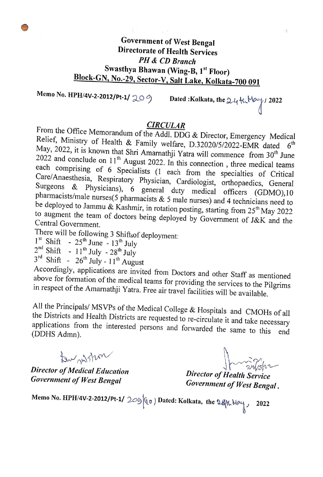$\sim$   $\sim$   $\sim$   $\sim$ 

Memo No. HPH/4V-2-2012/Pt-1/  $209$  Dated :Kolkata, the  $24$  th May 1 2022

**EIRCULAR**<br>From the Office Memorandum of the AddLDDO Relief, Ministry **CIRCULAR**<br>From the Office Memorandum of the Addl. DDG & Director, Emergency Medical<br>Relief, Ministry of Health & Family welfare, D.32020/5/2022-EMR dated 6<sup>th</sup><br>May, 2022, it is known that Shri Amarnathji Yatra will comme to augment the team of doctors being deployed by Government of J&K and the

There will be following 3 Shifts of deployment:  $1^{\text{st}}$  Shift -  $25^{\text{th}}$  June -  $13^{\text{th}}$  July

 $2^{nd}$  Shift -  $11^{th}$  July -  $28^{th}$  July

 $3^{\text{rd}}$  Shift -  $26^{\text{th}}$  July -  $11^{\text{th}}$  August

Accordingly, applications are invited from Doctors and other Staff as mentioned<br>above for formation of the medical teams for providing the services to the Pilgrims<br>in respect of the Amarnathji Yatra. Free air travel facili

All the Principals/ MSVPs of the Medical College & Hospitals and CMOHs of all<br>the Districts and Health Districts are requested to re-circulate it and take necessary<br>applications from the interested persons and forwarded th

ton withou

Director of Medical Education Government of West Bengal

Invitation

Director of Health Service Government of West Bengal.

Memo No. HPH/4V-2-2012/Pt-1/  $209|00\rangle$  Dated: Kolkata, the  $94$ t. May 2022